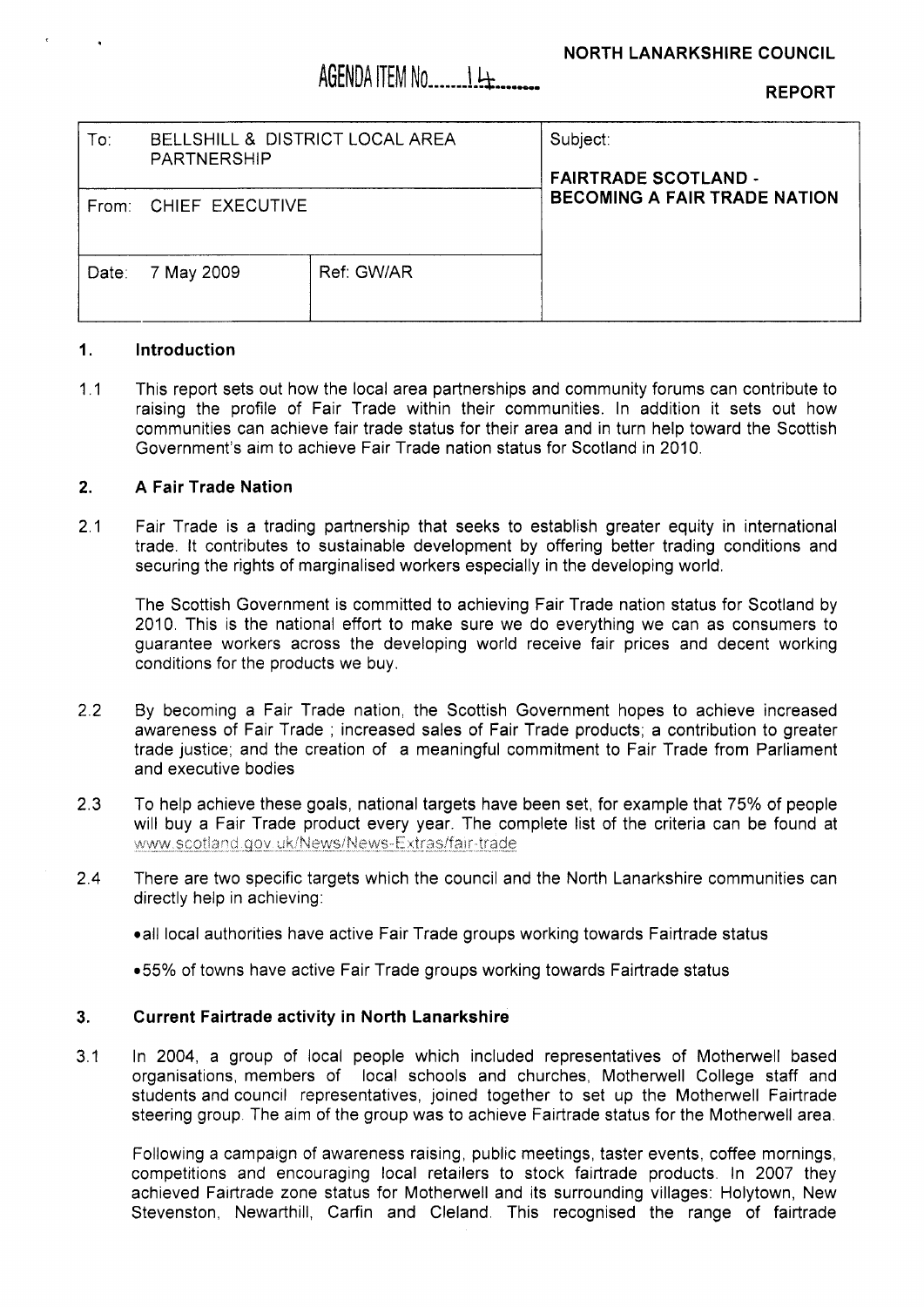# AGENDA ITEM No 14

**REPORT** 

| $\mathsf{To}$ : | BELLSHILL & DISTRICT LOCAL AREA<br><b>PARTNERSHIP</b> |            | Subject:<br><b>FAIRTRADE SCOTLAND -</b><br><b>BECOMING A FAIR TRADE NATION</b> |
|-----------------|-------------------------------------------------------|------------|--------------------------------------------------------------------------------|
| From:           | CHIEF EXECUTIVE                                       |            |                                                                                |
| Date:           | 7 May 2009                                            | Ref: GW/AR |                                                                                |

### **1. Introduction**

 $11$ This report sets out how the local area partnerships and community forums can contribute to raising the profile of Fair Trade within their communities. In addition it sets out how communities can achieve fair trade status for their area and in turn help toward the Scottish Government's aim to achieve Fair Trade nation status for Scotland in 2010.

#### **2. A Fair Trade Nation**

**2.1**  Fair Trade is a trading partnership that seeks to establish greater equity in international trade. It contributes to sustainable development by offering better trading conditions and securing the rights of marginalised workers especially in the developing world.

The Scottish Government is committed to achieving Fair Trade nation status for Scotland by **2010.** This is the national effort to make sure we do everything we can as consumers to guarantee workers across the developing world receive fair prices and decent working conditions for the products we buy.

- 2.2 By becoming a Fair Trade nation, the Scottish Government hopes to achieve increased awareness of Fair Trade ; increased sales of Fair Trade products; a contribution to greater trade justice; and the creation of a meaningful commitment to Fair Trade from Parliament and executive bodies
- **2.3**  To help achieve these goals, national targets have been set, for example that 75% of people will buy a Fair Trade product every year. The complete list of the criteria can be found at www.scotland.gov.uk/News/News-Extras/fair-trade
- 2.4 There are two specific targets which the council and the North Lanarkshire communities can directly help in achieving:
	- all local authorities have active Fair Trade groups working towards Fairtrade status
	- ●55% of towns have active Fair Trade groups working towards Fairtrade status

#### **3. Current Fairtrade activity in North Lanarkshire**

**3.1**  In **2004,** a group of local people which included representatives of Motherwell based organisations, members of local schools and churches, Motherwell College staff and students and council representatives, joined together to set up the Motherwell Fairtrade steering group. The aim of the group was to achieve Fairtrade status for the Motherwell area.

Following a campaign of awareness raising, public meetings, taster events, coffee mornings, competitions and encouraging local retailers to stock fairtrade products. In **2007** they achieved Fairtrade zone status for Motherwell and its surrounding villages: Holytown, New Stevenston, Newarthill, Carfin and Cleland. This recognised the range of fairtrade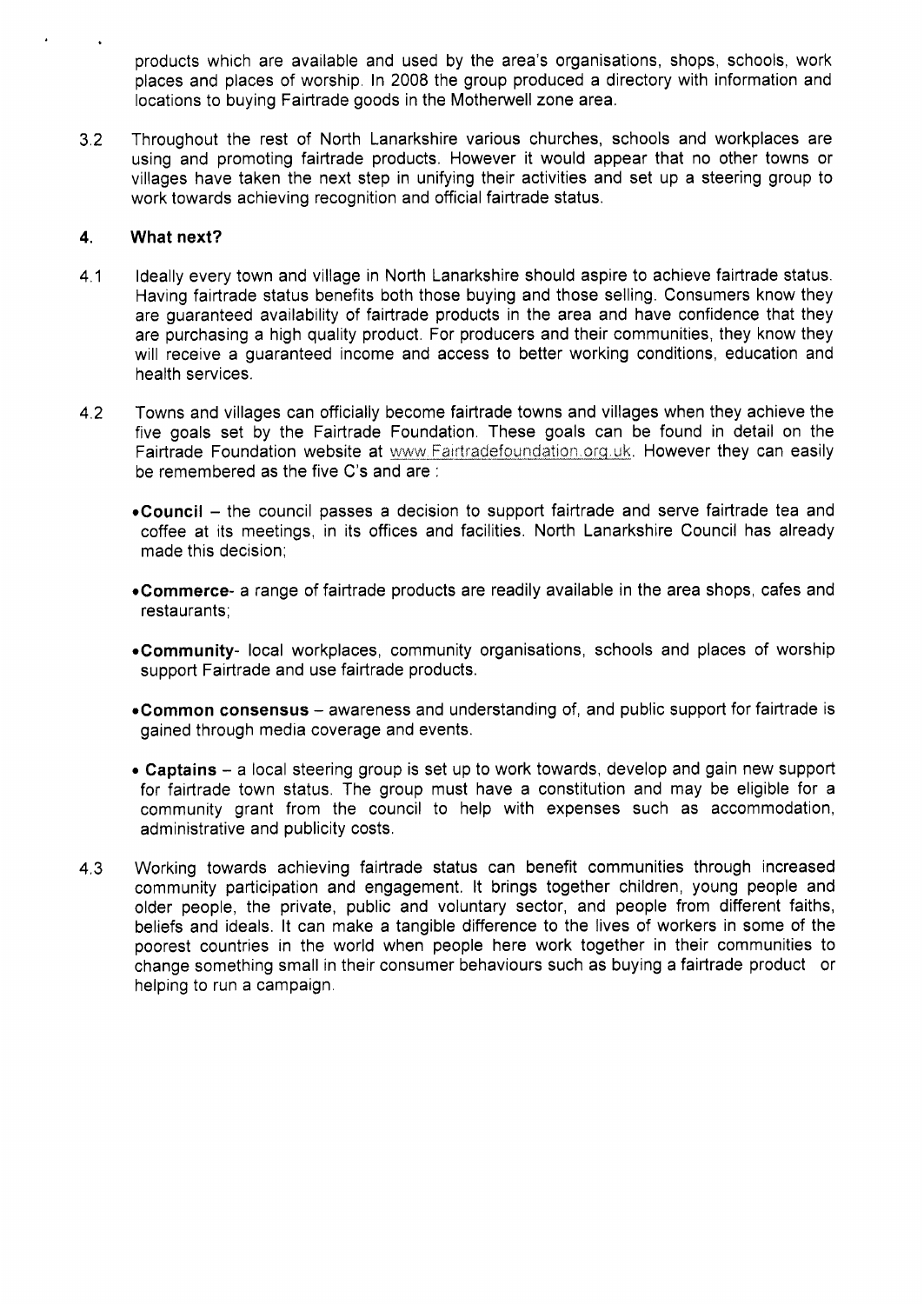products which are available and used by the area's organisations, shops, schools, work places and places of worship. In 2008 the group produced a directory with information and locations to buying Fairtrade goods in the Motherwell zone area.

3.2 Throughout the rest of North Lanarkshire various churches, schools and workplaces are using and promoting fairtrade products. However it would appear that no other towns or villages have taken the next step in unifying their activities and set up a steering group to work towards achieving recognition and official fairtrade status.

### **4. What next?**

- 4.1 Ideally every town and village in North Lanarkshire should aspire to achieve fairtrade status. Having fairtrade status benefits both those buying and those selling. Consumers know they are guaranteed availability of fairtrade products in the area and have confidence that they are purchasing a high quality product. For producers and their communities, they know they will receive a guaranteed income and access to better working conditions, education and health services.
- 4.2 Towns and villages can officially become fairtrade towns and villages when they achieve the five goals set by the Fairtrade Foundation. These goals can be found in detail on the Fairtrade Foundation website at www.Fairtradefoundation.org.uk. However they can easily be remembered as the five C's and are :
	- **.Council**  the council passes a decision to support fairtrade and serve fairtrade tea and coffee at its meetings, in its offices and facilities. North Lanarkshire Council has already made this decision;
	- **.Commerce-** a range of fairtrade products are readily available in the area shops, cafes and restaurants;
	- **.Community-** local workplaces, community organisations, schools and places of worship support Fairtrade and use fairtrade products.
	- **.Common consensus**  awareness and understanding of, and public support for fairtrade is gained through media coverage and events.
	- *<sup>0</sup>***Captains**  a local steering group is set up to work towards, develop and gain new support for fairtrade town status. The group must have a constitution and may be eligible for a community grant from the council to help with expenses such as accommodation, administrative and publicity costs.
- 4.3 Working towards achieving fairtrade status can benefit communities through increased community participation and engagement. It brings together children, young people and older people, the private, public and voluntary sector, and people from different faiths, beliefs and ideals. It can make a tangible difference to the lives of workers in some of the poorest countries in the world when people here work together in their communities to change something small in their consumer behaviours such as buying a fairtrade product or helping to run a campaign.